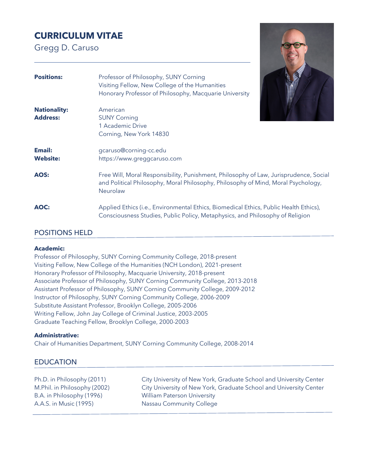# **CURRICULUM VITAE**

Gregg D. Caruso



# POSITIONS HELD

#### **Academic:**

Professor of Philosophy, SUNY Corning Community College, 2018-present Visiting Fellow, New College of the Humanities (NCH London), 2021-present Honorary Professor of Philosophy, Macquarie University, 2018-present Associate Professor of Philosophy, SUNY Corning Community College, 2013-2018 Assistant Professor of Philosophy, SUNY Corning Community College, 2009-2012 Instructor of Philosophy, SUNY Corning Community College, 2006-2009 Substitute Assistant Professor, Brooklyn College, 2005-2006 Writing Fellow, John Jay College of Criminal Justice, 2003-2005 Graduate Teaching Fellow, Brooklyn College, 2000-2003

### **Administrative:**

Chair of Humanities Department, SUNY Corning Community College, 2008-2014

# EDUCATION

B.A. in Philosophy (1996) William Paterson University A.A.S. in Music (1995) Nassau Community College

Ph.D. in Philosophy (2011) City University of New York, Graduate School and University Center M.Phil. in Philosophy (2002) City University of New York, Graduate School and University Center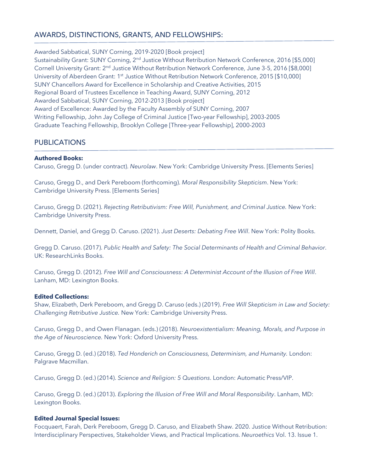# AWARDS, DISTINCTIONS, GRANTS, AND FELLOWSHIPS:

Awarded Sabbatical, SUNY Corning, 2019-2020 [Book project]

Sustainability Grant: SUNY Corning, 2<sup>nd</sup> Justice Without Retribution Network Conference, 2016 [\$5,000] Cornell University Grant: 2nd Justice Without Retribution Network Conference, June 3-5, 2016 [\$8,000] University of Aberdeen Grant: 1<sup>st</sup> Justice Without Retribution Network Conference, 2015 [\$10,000] SUNY Chancellors Award for Excellence in Scholarship and Creative Activities, 2015 Regional Board of Trustees Excellence in Teaching Award, SUNY Corning, 2012 Awarded Sabbatical, SUNY Corning, 2012-2013 [Book project] Award of Excellence: Awarded by the Faculty Assembly of SUNY Corning, 2007 Writing Fellowship, John Jay College of Criminal Justice [Two-year Fellowship], 2003-2005 Graduate Teaching Fellowship, Brooklyn College [Three-year Fellowship], 2000-2003

# PUBLICATIONS

## **Authored Books:**

Caruso, Gregg D. (under contract). *Neurolaw*. New York: Cambridge University Press. [Elements Series]

Caruso, Gregg D., and Derk Pereboom (forthcoming). *Moral Responsibility Skepticism*. New York: Cambridge University Press. [Elements Series]

Caruso, Gregg D. (2021). *Rejecting Retributivism: Free Will, Punishment, and Criminal Justice.* New York: Cambridge University Press.

Dennett, Daniel, and Gregg D. Caruso. (2021). *Just Deserts: Debating Free Will*. New York: Polity Books.

Gregg D. Caruso. (2017). *Public Health and Safety: The Social Determinants of Health and Criminal Behavior*. UK: ResearchLinks Books.

Caruso, Gregg D. (2012). *Free Will and Consciousness: A Determinist Account of the Illusion of Free Will*. Lanham, MD: Lexington Books.

### **Edited Collections:**

Shaw, Elizabeth, Derk Pereboom, and Gregg D. Caruso (eds.) (2019). *Free Will Skepticism in Law and Society: Challenging Retributive Justice.* New York: Cambridge University Press.

Caruso, Gregg D., and Owen Flanagan. (eds.) (2018). *Neuroexistentialism: Meaning, Morals, and Purpose in the Age of Neuroscience.* New York: Oxford University Press.

Caruso, Gregg D. (ed.) (2018). *Ted Honderich on Consciousness, Determinism, and Humanity.* London: Palgrave Macmillan.

Caruso, Gregg D. (ed.) (2014). *Science and Religion: 5 Questions*. London: Automatic Press/VIP.

Caruso, Gregg D. (ed.) (2013). *Exploring the Illusion of Free Will and Moral Responsibility*. Lanham, MD: Lexington Books.

### **Edited Journal Special Issues:**

Focquaert, Farah, Derk Pereboom, Gregg D. Caruso, and Elizabeth Shaw. 2020. Justice Without Retribution: Interdisciplinary Perspectives, Stakeholder Views, and Practical Implications. *Neuroethics* Vol. 13. Issue 1.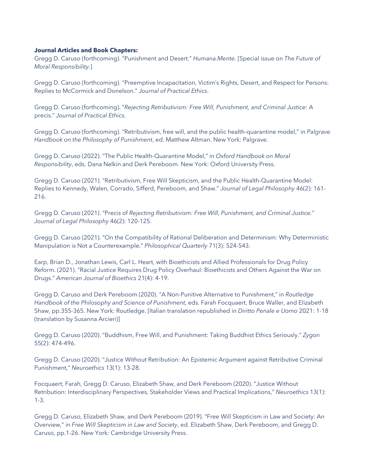#### **Journal Articles and Book Chapters:**

Gregg D. Caruso (forthcoming). "Punishment and Desert." *Humana.Mente*. [Special issue on *The Future of Moral Responsibility*.]

Gregg D. Caruso (forthcoming). "Preemptive Incapacitation, Victim's Rights, Desert, and Respect for Persons: Replies to McCormick and Donelson." *Journal of Practical Ethics*.

Gregg D. Caruso (forthcoming). "*Rejecting Retributivism: Free Will, Punishment, and Criminal Justice*: A precis." *Journal of Practical Ethics.* 

Gregg D. Caruso (forthcoming). "Retributivism, free will, and the public health-quarantine model," in *Palgrave Handbook on the Philosophy of Punishment*, ed. Matthew Altman. New York: Palgrave.

Gregg D. Caruso (2022). "The Public Health-Quarantine Model," in *Oxford Handbook on Moral Responsibility*, eds. Dana Nelkin and Derk Pereboom. New York: Oxford University Press.

Gregg D. Caruso (2021). "Retributivism, Free Will Skepticism, and the Public Health-Quarantine Model: Replies to Kennedy, Walen, Corrado, Sifferd, Pereboom, and Shaw." *Journal of Legal Philosophy* 46(2): 161- 216.

Gregg D. Caruso (2021). "Precis of *Rejecting Retributivism: Free Will, Punishment, and Criminal Justice.*" *Journal of Legal Philosophy* 46(2): 120-125.

Gregg D. Caruso (2021). "On the Compatibility of Rational Deliberation and Determinism: Why Deterministic Manipulation is Not a Counterexample." *Philosophical Quarterly* 71(3): 524-543.

Earp, Brian D., Jonathan Lewis, Carl L. Heart, with Bioethicists and Allied Professionals for Drug Policy Reform. (2021). "Racial Justice Requires Drug Policy Overhaul: Bioethicists and Others Against the War on Drugs." *American Journal of Bioethics* 21(4): 4-19.

Gregg D. Caruso and Derk Pereboom (2020). "A Non-Punitive Alternative to Punishment," in *Routledge Handbook of the Philosophy and Science of Punishment*, eds. Farah Focquaert, Bruce Waller, and Elizabeth Shaw, pp.355-365. New York: Routledge. [Italian translation republished in *Diritto Penale e Uomo* 2021: 1-18 (translation by Susanna Arcieri)]

Gregg D. Caruso (2020). "Buddhism, Free Will, and Punishment: Taking Buddhist Ethics Seriously." *Zygon* 55(2): 474-496.

Gregg D. Caruso (2020). "Justice Without Retribution: An Epistemic Argument against Retributive Criminal Punishment," *Neuroethics* 13(1): 13-28.

Focquaert, Farah, Gregg D. Caruso, Elizabeth Shaw, and Derk Pereboom (2020). "Justice Without Retribution: Interdisciplinary Perspectives, Stakeholder Views and Practical Implications," *Neuroethics* 13(1): 1-3.

Gregg D. Caruso, Elizabeth Shaw, and Derk Pereboom (2019). "Free Will Skepticism in Law and Society: An Overview," in *Free Will Skepticism in Law and Society*, ed. Elizabeth Shaw, Derk Pereboom, and Gregg D. Caruso, pp.1-26. New York: Cambridge University Press.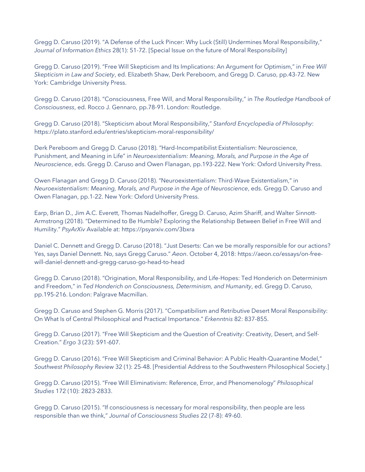Gregg D. Caruso (2019). "A Defense of the Luck Pincer: Why Luck (Still) Undermines Moral Responsibility," *Journal of Information Ethics* 28(1): 51-72. [Special Issue on the future of Moral Responsibility]

Gregg D. Caruso (2019). "Free Will Skepticism and Its Implications: An Argument for Optimism," in *Free Will Skepticism in Law and Society*, ed. Elizabeth Shaw, Derk Pereboom, and Gregg D. Caruso, pp.43-72. New York: Cambridge University Press.

Gregg D. Caruso (2018). "Consciousness, Free Will, and Moral Responsibility," in *The Routledge Handbook of Consciousness*, ed. Rocco J. Gennaro, pp.78-91. London: Routledge.

Gregg D. Caruso (2018). "Skepticism about Moral Responsibility," *Stanford Encyclopedia of Philosophy*: https://plato.stanford.edu/entries/skepticism-moral-responsibility/

Derk Pereboom and Gregg D. Caruso (2018). "Hard-Incompatibilist Existentialism: Neuroscience, Punishment, and Meaning in Life" in *Neuroexistentialism: Meaning, Morals, and Purpose in the Age of Neuroscience*, eds. Gregg D. Caruso and Owen Flanagan, pp.193-222. New York: Oxford University Press.

Owen Flanagan and Gregg D. Caruso (2018). "Neuroexistentialism: Third-Wave Existentialism," in *Neuroexistentialism: Meaning, Morals, and Purpose in the Age of Neuroscience*, eds. Gregg D. Caruso and Owen Flanagan, pp.1-22. New York: Oxford University Press.

Earp, Brian D., Jim A.C. Everett, Thomas Nadelhoffer, Gregg D. Caruso, Azim Shariff, and Walter Sinnott-Armstrong (2018). "Determined to Be Humble? Exploring the Relationship Between Belief in Free Will and Humility." *PsyArXiv* Available at: https://psyarxiv.com/3bxra

Daniel C. Dennett and Gregg D. Caruso (2018). "Just Deserts: Can we be morally responsible for our actions? Yes, says Daniel Dennett. No, says Gregg Caruso." *Aeon*. October 4, 2018: https://aeon.co/essays/on-freewill-daniel-dennett-and-gregg-caruso-go-head-to-head

Gregg D. Caruso (2018). "Origination, Moral Responsibility, and Life-Hopes: Ted Honderich on Determinism and Freedom," in *Ted Honderich on Consciousness, Determinism, and Humanity*, ed. Gregg D. Caruso, pp.195-216. London: Palgrave Macmillan.

Gregg D. Caruso and Stephen G. Morris (2017). "Compatibilism and Retributive Desert Moral Responsibility: On What Is of Central Philosophical and Practical Importance." *Erkenntnis* 82: 837-855.

Gregg D. Caruso (2017). "Free Will Skepticism and the Question of Creativity: Creativity, Desert, and Self-Creation." *Ergo* 3 (23): 591-607.

Gregg D. Caruso (2016). "Free Will Skepticism and Criminal Behavior: A Public Health-Quarantine Model," *Southwest Philosophy Review* 32 (1): 25-48. [Presidential Address to the Southwestern Philosophical Society.]

Gregg D. Caruso (2015). "Free Will Eliminativism: Reference, Error, and Phenomenology" *Philosophical Studies* 172 (10): 2823-2833.

Gregg D. Caruso (2015). "If consciousness is necessary for moral responsibility, then people are less responsible than we think," *Journal of Consciousness Studies* 22 (7-8): 49-60.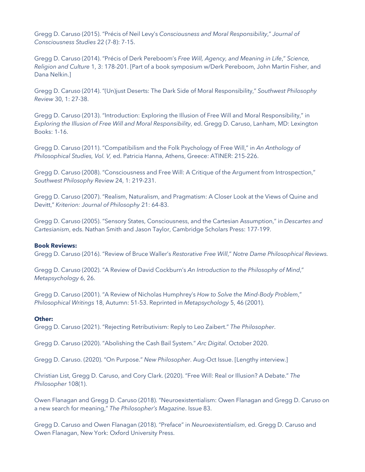Gregg D. Caruso (2015). "Précis of Neil Levy's *Consciousness and Moral Responsibility*," *Journal of Consciousness Studies* 22 (7-8): 7-15.

Gregg D. Caruso (2014). "Précis of Derk Pereboom's *Free Will, Agency, and Meaning in Life*," *Science, Religion and Culture* 1, 3: 178-201. [Part of a book symposium w/Derk Pereboom, John Martin Fisher, and Dana Nelkin.]

Gregg D. Caruso (2014). "(Un)just Deserts: The Dark Side of Moral Responsibility," *Southwest Philosophy Review* 30, 1: 27-38.

Gregg D. Caruso (2013). "Introduction: Exploring the Illusion of Free Will and Moral Responsibility," in *Exploring the Illusion of Free Will and Moral Responsibility*, ed. Gregg D. Caruso, Lanham, MD: Lexington Books: 1-16.

Gregg D. Caruso (2011). "Compatibilism and the Folk Psychology of Free Will," in *An Anthology of Philosophical Studies, Vol. V,* ed. Patricia Hanna, Athens, Greece: ATINER: 215-226.

Gregg D. Caruso (2008). "Consciousness and Free Will: A Critique of the Argument from Introspection," *Southwest Philosophy Review* 24, 1: 219-231.

Gregg D. Caruso (2007). "Realism, Naturalism, and Pragmatism: A Closer Look at the Views of Quine and Devitt," *Kriterion: Journal of Philosophy* 21: 64-83.

Gregg D. Caruso (2005). "Sensory States, Consciousness, and the Cartesian Assumption," in *Descartes and Cartesianism*, eds. Nathan Smith and Jason Taylor, Cambridge Scholars Press: 177-199.

### **Book Reviews:**

Gregg D. Caruso (2016). "Review of Bruce Waller's *Restorative Free Will*," *Notre Dame Philosophical Reviews.*

Gregg D. Caruso (2002). "A Review of David Cockburn's *An Introduction to the Philosophy of Mind*," *Metapsychology* 6, 26.

Gregg D. Caruso (2001). "A Review of Nicholas Humphrey's *How to Solve the Mind-Body Problem*," *Philosophical Writings* 18, Autumn: 51-53. Reprinted in *Metapsychology* 5, 46 (2001).

#### **Other:**

Gregg D. Caruso (2021). "Rejecting Retributivism: Reply to Leo Zaibert." *The Philosopher*.

Gregg D. Caruso (2020). "Abolishing the Cash Bail System." *Arc Digital*. October 2020.

Gregg D. Caruso. (2020). "On Purpose." *New Philosopher*. Aug-Oct Issue. [Lengthy interview.]

Christian List, Gregg D. Caruso, and Cory Clark. (2020). "Free Will: Real or Illusion? A Debate." *The Philosopher* 108(1).

Owen Flanagan and Gregg D. Caruso (2018). "Neuroexistentialism: Owen Flanagan and Gregg D. Caruso on a new search for meaning," *The Philosopher's Magazine*. Issue 83.

Gregg D. Caruso and Owen Flanagan (2018). "Preface" in *Neuroexistentialism*, ed. Gregg D. Caruso and Owen Flanagan, New York: Oxford University Press.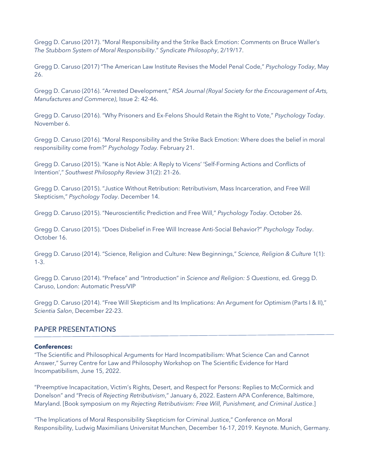Gregg D. Caruso (2017). "Moral Responsibility and the Strike Back Emotion: Comments on Bruce Waller's *The Stubborn System of Moral Responsibility*." *Syndicate Philosophy*, 2/19/17.

Gregg D. Caruso (2017) "The American Law Institute Revises the Model Penal Code," *Psychology Today*, May 26.

Gregg D. Caruso (2016). "Arrested Development," *RSA Journal (Royal Society for the Encouragement of Arts, Manufactures and Commerce)*, Issue 2: 42-46.

Gregg D. Caruso (2016). "Why Prisoners and Ex-Felons Should Retain the Right to Vote," *Psychology Today*. November 6.

Gregg D. Caruso (2016). "Moral Responsibility and the Strike Back Emotion: Where does the belief in moral responsibility come from?" *Psychology Today.* February 21.

Gregg D. Caruso (2015). "Kane is Not Able: A Reply to Vicens' 'Self-Forming Actions and Conflicts of Intention'," *Southwest Philosophy Review* 31(2): 21-26.

Gregg D. Caruso (2015). "Justice Without Retribution: Retributivism, Mass Incarceration, and Free Will Skepticism," *Psychology Today*. December 14.

Gregg D. Caruso (2015). "Neuroscientific Prediction and Free Will," *Psychology Today*. October 26.

Gregg D. Caruso (2015). "Does Disbelief in Free Will Increase Anti-Social Behavior?" *Psychology Today*. October 16.

Gregg D. Caruso (2014). "Science, Religion and Culture: New Beginnings," *Science, Religion & Culture* 1(1): 1-3.

Gregg D. Caruso (2014). "Preface" and "Introduction" in *Science and Religion: 5 Questions*, ed. Gregg D. Caruso, London: Automatic Press/VIP

Gregg D. Caruso (2014). "Free Will Skepticism and Its Implications: An Argument for Optimism (Parts I & II)," *Scientia Salon*, December 22-23.

# PAPER PRESENTATIONS

#### **Conferences:**

"The Scientific and Philosophical Arguments for Hard Incompatibilism: What Science Can and Cannot Answer," Surrey Centre for Law and Philosophy Workshop on The Scientific Evidence for Hard Incompatibilism, June 15, 2022.

"Preemptive Incapacitation, Victim's Rights, Desert, and Respect for Persons: Replies to McCormick and Donelson" and "Precis of *Rejecting Retributivism*," January 6, 2022. Eastern APA Conference, Baltimore, Maryland. [Book symposium on my *Rejecting Retributivism: Free Will, Punishment, and Criminal Justice*.]

"The Implications of Moral Responsibility Skepticism for Criminal Justice," Conference on Moral Responsibility, Ludwig Maximilians Universitat Munchen, December 16-17, 2019. Keynote. Munich, Germany.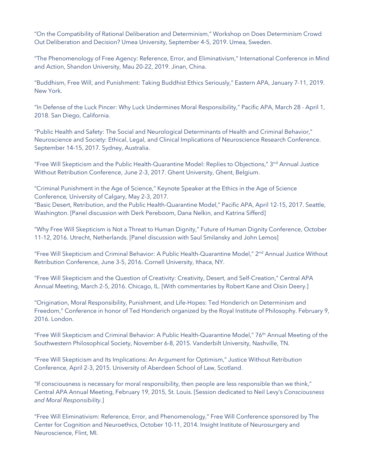"On the Compatibility of Rational Deliberation and Determinism," Workshop on Does Determinism Crowd Out Deliberation and Decision? Umea University, September 4-5, 2019. Umea, Sweden.

"The Phenomenology of Free Agency: Reference, Error, and Eliminativism," International Conference in Mind and Action, Shandon University, Mau 20-22, 2019. Jinan, China.

"Buddhism, Free Will, and Punishment: Taking Buddhist Ethics Seriously," Eastern APA, January 7-11, 2019. New York.

"In Defense of the Luck Pincer: Why Luck Undermines Moral Responsibility," Pacific APA, March 28 - April 1, 2018. San Diego, California.

"Public Health and Safety: The Social and Neurological Determinants of Health and Criminal Behavior," Neuroscience and Society: Ethical, Legal, and Clinical Implications of Neuroscience Research Conference. September 14-15, 2017. Sydney, Australia.

"Free Will Skepticism and the Public Health-Quarantine Model: Replies to Objections," 3<sup>nd</sup> Annual Justice Without Retribution Conference, June 2-3, 2017. Ghent University, Ghent, Belgium.

"Criminal Punishment in the Age of Science," Keynote Speaker at the Ethics in the Age of Science Conference*,* University of Calgary, May 2-3, 2017.

"Basic Desert, Retribution, and the Public Health-Quarantine Model," Pacific APA, April 12-15, 2017. Seattle, Washington. [Panel discussion with Derk Pereboom, Dana Nelkin, and Katrina Sifferd]

"Why Free Will Skepticism is Not a Threat to Human Dignity," Future of Human Dignity Conference, October 11-12, 2016. Utrecht, Netherlands. [Panel discussion with Saul Smilansky and John Lemos]

"Free Will Skepticism and Criminal Behavior: A Public Health-Quarantine Model," 2<sup>nd</sup> Annual Justice Without Retribution Conference, June 3-5, 2016. Cornell University, Ithaca, NY.

"Free Will Skepticism and the Question of Creativity: Creativity, Desert, and Self-Creation," Central APA Annual Meeting, March 2-5, 2016. Chicago, IL. [With commentaries by Robert Kane and Oisin Deery.]

"Origination, Moral Responsibility, Punishment, and Life-Hopes: Ted Honderich on Determinism and Freedom," Conference in honor of Ted Honderich organized by the Royal Institute of Philosophy. February 9, 2016. London.

"Free Will Skepticism and Criminal Behavior: A Public Health-Quarantine Model," 76<sup>th</sup> Annual Meeting of the Southwestern Philosophical Society, November 6-8, 2015. Vanderbilt University, Nashville, TN.

"Free Will Skepticism and Its Implications: An Argument for Optimism," Justice Without Retribution Conference, April 2-3, 2015. University of Aberdeen School of Law, Scotland.

"If consciousness is necessary for moral responsibility, then people are less responsible than we think," Central APA Annual Meeting, February 19, 2015, St. Louis. [Session dedicated to Neil Levy's *Consciousness and Moral Responsibility.*]

"Free Will Eliminativism: Reference, Error, and Phenomenology," Free Will Conference sponsored by The Center for Cognition and Neuroethics, October 10-11, 2014. Insight Institute of Neurosurgery and Neuroscience, Flint, MI.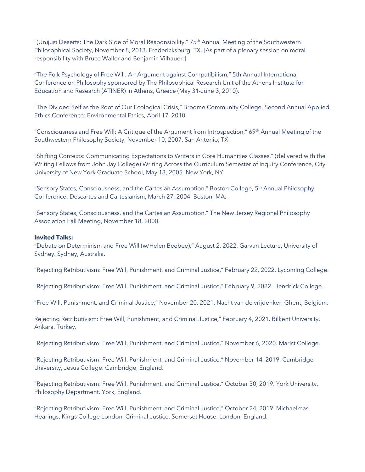"(Un)just Deserts: The Dark Side of Moral Responsibility," 75<sup>th</sup> Annual Meeting of the Southwestern Philosophical Society, November 8, 2013. Fredericksburg, TX. [As part of a plenary session on moral responsibility with Bruce Waller and Benjamin Vilhauer.]

"The Folk Psychology of Free Will: An Argument against Compatibilism," 5th Annual International Conference on Philosophy sponsored by The Philosophical Research Unit of the Athens Institute for Education and Research (ATINER) in Athens, Greece (May 31-June 3, 2010).

"The Divided Self as the Root of Our Ecological Crisis," Broome Community College, Second Annual Applied Ethics Conference: Environmental Ethics, April 17, 2010.

"Consciousness and Free Will: A Critique of the Argument from Introspection," 69th Annual Meeting of the Southwestern Philosophy Society, November 10, 2007. San Antonio, TX.

"Shifting Contexts: Communicating Expectations to Writers in Core Humanities Classes," (delivered with the Writing Fellows from John Jay College) Writing Across the Curriculum Semester of Inquiry Conference, City University of New York Graduate School, May 13, 2005. New York, NY.

"Sensory States, Consciousness, and the Cartesian Assumption," Boston College, 5th Annual Philosophy Conference: Descartes and Cartesianism, March 27, 2004. Boston, MA.

"Sensory States, Consciousness, and the Cartesian Assumption," The New Jersey Regional Philosophy Association Fall Meeting, November 18, 2000.

#### **Invited Talks:**

"Debate on Determinism and Free Will (w/Helen Beebee)," August 2, 2022. Garvan Lecture, University of Sydney. Sydney, Australia.

"Rejecting Retributivism: Free Will, Punishment, and Criminal Justice," February 22, 2022. Lycoming College.

"Rejecting Retributivism: Free Will, Punishment, and Criminal Justice," February 9, 2022. Hendrick College.

"Free Will, Punishment, and Criminal Justice," November 20, 2021, Nacht van de vrijdenker, Ghent, Belgium.

Rejecting Retributivism: Free Will, Punishment, and Criminal Justice," February 4, 2021. Bilkent University. Ankara, Turkey.

"Rejecting Retributivism: Free Will, Punishment, and Criminal Justice," November 6, 2020. Marist College.

"Rejecting Retributivism: Free Will, Punishment, and Criminal Justice," November 14, 2019. Cambridge University, Jesus College. Cambridge, England.

"Rejecting Retributivism: Free Will, Punishment, and Criminal Justice," October 30, 2019. York University, Philosophy Department. York, England.

"Rejecting Retributivism: Free Will, Punishment, and Criminal Justice," October 24, 2019. Michaelmas Hearings, Kings College London, Criminal Justice. Somerset House. London, England.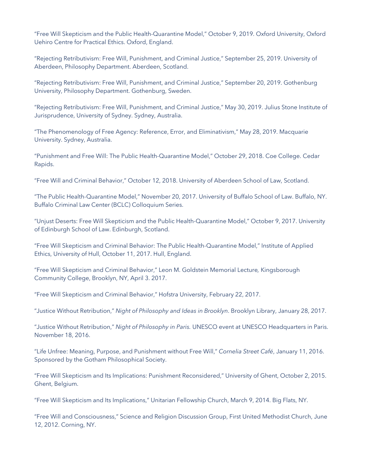"Free Will Skepticism and the Public Health-Quarantine Model," October 9, 2019. Oxford University, Oxford Uehiro Centre for Practical Ethics. Oxford, England.

"Rejecting Retributivism: Free Will, Punishment, and Criminal Justice," September 25, 2019. University of Aberdeen, Philosophy Department. Aberdeen, Scotland.

"Rejecting Retributivism: Free Will, Punishment, and Criminal Justice," September 20, 2019. Gothenburg University, Philosophy Department. Gothenburg, Sweden.

"Rejecting Retributivism: Free Will, Punishment, and Criminal Justice," May 30, 2019. Julius Stone Institute of Jurisprudence, University of Sydney. Sydney, Australia.

"The Phenomenology of Free Agency: Reference, Error, and Eliminativism," May 28, 2019. Macquarie University. Sydney, Australia.

"Punishment and Free Will: The Public Health-Quarantine Model," October 29, 2018. Coe College. Cedar Rapids.

"Free Will and Criminal Behavior," October 12, 2018. University of Aberdeen School of Law, Scotland.

"The Public Health-Quarantine Model," November 20, 2017. University of Buffalo School of Law. Buffalo, NY. Buffalo Criminal Law Center (BCLC) Colloquium Series.

"Unjust Deserts: Free Will Skepticism and the Public Health-Quarantine Model," October 9, 2017. University of Edinburgh School of Law. Edinburgh, Scotland.

"Free Will Skepticism and Criminal Behavior: The Public Health-Quarantine Model," Institute of Applied Ethics, University of Hull, October 11, 2017. Hull, England.

"Free Will Skepticism and Criminal Behavior," Leon M. Goldstein Memorial Lecture*,* Kingsborough Community College, Brooklyn, NY, April 3. 2017.

"Free Will Skepticism and Criminal Behavior," Hofstra University, February 22, 2017.

"Justice Without Retribution," *Night of Philosophy and Ideas in Brooklyn*. Brooklyn Library, January 28, 2017.

"Justice Without Retribution," *Night of Philosophy in Paris.* UNESCO event at UNESCO Headquarters in Paris. November 18, 2016.

"Life Unfree: Meaning, Purpose, and Punishment without Free Will," *Cornelia Street Café*, January 11, 2016. Sponsored by the Gotham Philosophical Society.

"Free Will Skepticism and Its Implications: Punishment Reconsidered," University of Ghent, October 2, 2015. Ghent, Belgium.

"Free Will Skepticism and Its Implications," Unitarian Fellowship Church, March 9, 2014. Big Flats, NY.

"Free Will and Consciousness," Science and Religion Discussion Group, First United Methodist Church, June 12, 2012. Corning, NY.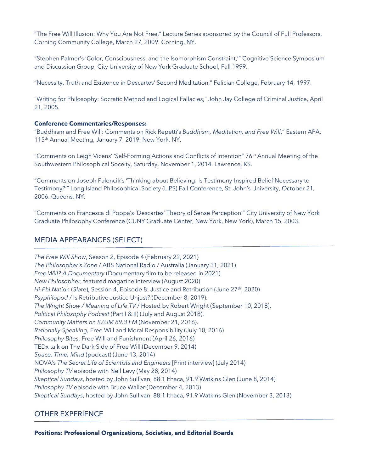"The Free Will Illusion: Why You Are Not Free," Lecture Series sponsored by the Council of Full Professors, Corning Community College, March 27, 2009. Corning, NY.

"Stephen Palmer's 'Color, Consciousness, and the Isomorphism Constraint,'" Cognitive Science Symposium and Discussion Group, City University of New York Graduate School, Fall 1999.

"Necessity, Truth and Existence in Descartes' Second Meditation," Felician College, February 14, 1997.

"Writing for Philosophy: Socratic Method and Logical Fallacies," John Jay College of Criminal Justice, April 21, 2005.

## **Conference Commentaries/Responses:**

"Buddhism and Free Will: Comments on Rick Repetti's *Buddhism, Meditation, and Free Will*," Eastern APA, 115<sup>th</sup> Annual Meeting, January 7, 2019. New York, NY.

"Comments on Leigh Vicens' 'Self-Forming Actions and Conflicts of Intention" 76th Annual Meeting of the Southwestern Philosophical Soceity, Saturday, November 1, 2014. Lawrence, KS.

"Comments on Joseph Palencik's 'Thinking about Believing: Is Testimony-Inspired Belief Necessary to Testimony?'" Long Island Philosophical Society (LIPS) Fall Conference, St. John's University, October 21, 2006. Queens, NY.

"Comments on Francesca di Poppa's 'Descartes' Theory of Sense Perception'" City University of New York Graduate Philosophy Conference (CUNY Graduate Center, New York, New York), March 15, 2003.

# MEDIA APPEARANCES (SELECT)

*The Free Will Show*, Season 2, Episode 4 (February 22, 2021) *The Philosopher's Zone* / ABS National Radio / Australia (January 31, 2021) *Free Will? A Documentary* (Documentary film to be released in 2021) *New Philosopher*, featured magazine interview (August 2020) *Hi-Phi Nation* (*Slate*), Session 4, Episode 8: Justice and Retribution (June 27th, 2020) *Psyphilopod* / Is Retributive Justice Unjust? (December 8, 2019). *The Wright Show / Meaning of Life TV* / Hosted by Robert Wright (September 10, 2018). *Political Philosophy Podcast* (Part I & II) (July and August 2018). *Community Matters on KZUM 89.3 FM* (November 21, 2016). *Rationally Speaking*, Free Will and Moral Responsibility (July 10, 2016) *Philosophy Bites*, Free Will and Punishment (April 26, 2016) TEDx talk on The Dark Side of Free Will (December 9, 2014) *Space, Time, Mind* (podcast) (June 13, 2014) NOVA's *The Secret Life of Scientists and Engineers* [Print interview] (July 2014) *Philosophy TV* episode with Neil Levy (May 28, 2014) *Skeptical Sundays*, hosted by John Sullivan, 88.1 Ithaca, 91.9 Watkins Glen (June 8, 2014) *Philosophy TV* episode with Bruce Waller (December 4, 2013) *Skeptical Sundays*, hosted by John Sullivan, 88.1 Ithaca, 91.9 Watkins Glen (November 3, 2013)

# OTHER EXPERIENCE

**Positions: Professional Organizations, Societies, and Editorial Boards**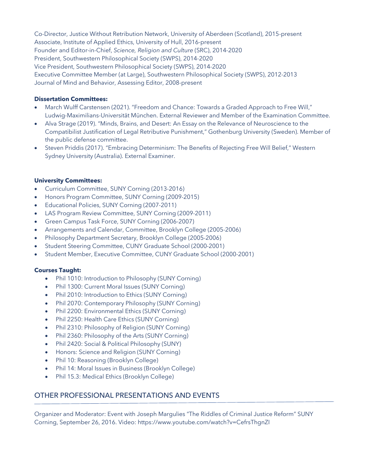Co-Director, Justice Without Retribution Network, University of Aberdeen (Scotland), 2015-present Associate, Institute of Applied Ethics, University of Hull, 2016-present Founder and Editor-in-Chief, *Science, Religion and Culture* (SRC), 2014-2020 President, Southwestern Philosophical Society (SWPS), 2014-2020 Vice President, Southwestern Philosophical Society (SWPS), 2014-2020 Executive Committee Member (at Large), Southwestern Philosophical Society (SWPS), 2012-2013 Journal of Mind and Behavior, Assessing Editor, 2008-present

# **Dissertation Committees:**

- March Wulff Carstensen (2021). "Freedom and Chance: Towards a Graded Approach to Free Will," Ludwig-Maximilians-Universität München. External Reviewer and Member of the Examination Committee.
- Alva Strage (2019). "Minds, Brains, and Desert: An Essay on the Relevance of Neuroscience to the Compatibilist Justification of Legal Retributive Punishment," Gothenburg University (Sweden). Member of the public defense committee.
- Steven Priddis (2017). "Embracing Determinism: The Benefits of Rejecting Free Will Belief," Western Sydney University (Australia). External Examiner.

## **University Committees:**

- Curriculum Committee, SUNY Corning (2013-2016)
- Honors Program Committee, SUNY Corning (2009-2015)
- Educational Policies, SUNY Corning (2007-2011)
- LAS Program Review Committee, SUNY Corning (2009-2011)
- Green Campus Task Force, SUNY Corning (2006-2007)
- Arrangements and Calendar, Committee, Brooklyn College (2005-2006)
- Philosophy Department Secretary, Brooklyn College (2005-2006)
- Student Steering Committee, CUNY Graduate School (2000-2001)
- Student Member, Executive Committee, CUNY Graduate School (2000-2001)

### **Courses Taught:**

- Phil 1010: Introduction to Philosophy (SUNY Corning)
- Phil 1300: Current Moral Issues (SUNY Corning)
- Phil 2010: Introduction to Ethics (SUNY Corning)
- Phil 2070: Contemporary Philosophy (SUNY Corning)
- Phil 2200: Environmental Ethics (SUNY Corning)
- Phil 2250: Health Care Ethics (SUNY Corning)
- Phil 2310: Philosophy of Religion (SUNY Corning)
- Phil 2360: Philosophy of the Arts (SUNY Corning)
- Phil 2420: Social & Political Philosophy (SUNY)
- Honors: Science and Religion (SUNY Corning)
- Phil 10: Reasoning (Brooklyn College)
- Phil 14: Moral Issues in Business (Brooklyn College)
- Phil 15.3: Medical Ethics (Brooklyn College)

# OTHER PROFESSIONAL PRESENTATIONS AND EVENTS

Organizer and Moderator: Event with Joseph Margulies "The Riddles of Criminal Justice Reform" SUNY Corning, September 26, 2016. Video: https://www.youtube.com/watch?v=CefrsThgnZI